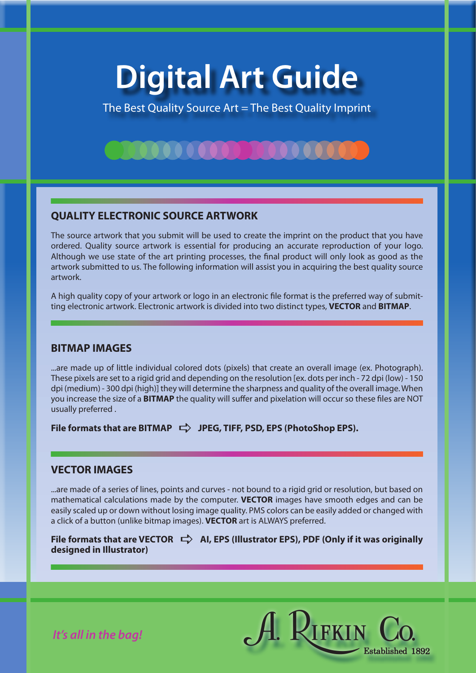# **Digital Art Guide**

The Best Quality Source Art = The Best Quality Imprint

# **QUALITY ELECTRONIC SOURCE ARTWORK**

**TOO OO OO OO D** 

The source artwork that you submit will be used to create the imprint on the product that you have ordered. Quality source artwork is essential for producing an accurate reproduction of your logo. Although we use state of the art printing processes, the final product will only look as good as the artwork submitted to us. The following information will assist you in acquiring the best quality source artwork.

A high quality copy of your artwork or logo in an electronic file format is the preferred way of submitting electronic artwork. Electronic artwork is divided into two distinct types, **VECTOR** and **BITMAP**.

## **BITMAP IMAGES**

...are made up of little individual colored dots (pixels) that create an overall image (ex. Photograph). These pixels are set to a rigid grid and depending on the resolution [ex. dots per inch - 72 dpi (low) - 150 dpi (medium) - 300 dpi (high)] they will determine the sharpness and quality of the overall image. When you increase the size of a **BITMAP** the quality will suffer and pixelation will occur so these files are NOT usually preferred .

File formats that are BITMAP  $\Rightarrow$  JPEG, TIFF, PSD, EPS (PhotoShop EPS).

## **VECTOR IMAGES**

...are made of a series of lines, points and curves - not bound to a rigid grid or resolution, but based on mathematical calculations made by the computer. **VECTOR** images have smooth edges and can be easily scaled up or down without losing image quality. PMS colors can be easily added or changed with a click of a button (unlike bitmap images). **VECTOR** art is ALWAYS preferred.

File formats that are VECTOR  $\Rightarrow$  AI, EPS (Illustrator EPS), PDF (Only if it was originally **designed in Illustrator)**



*It's all in the bag!*